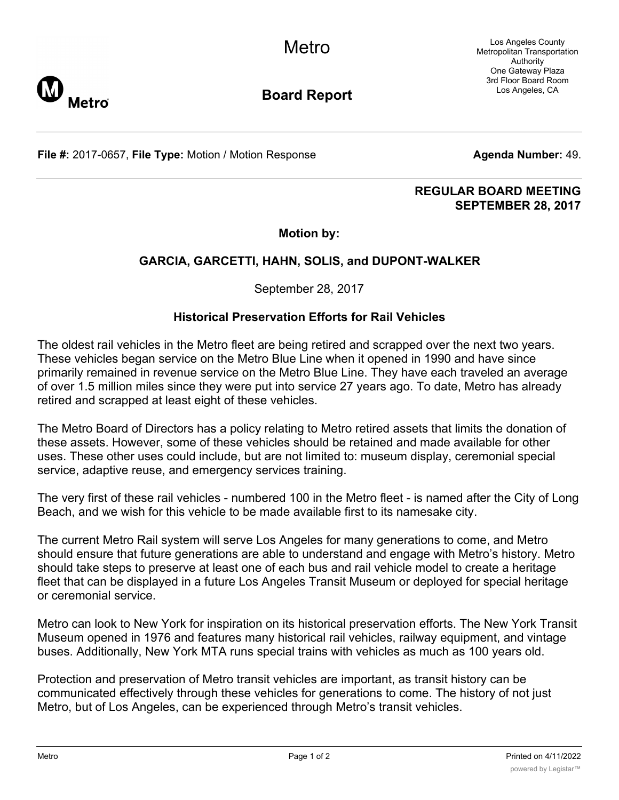Los Angeles County Metropolitan Transportation Authority One Gateway Plaza 3rd Floor Board Room Los Angeles, CA



**Board Report**

**File #:** 2017-0657, File Type: Motion / Motion Response **Agenta Number: 49. Agenda Number: 49.** 

#### **REGULAR BOARD MEETING SEPTEMBER 28, 2017**

## **Motion by:**

# **GARCIA, GARCETTI, HAHN, SOLIS, and DUPONT-WALKER**

September 28, 2017

## **Historical Preservation Efforts for Rail Vehicles**

The oldest rail vehicles in the Metro fleet are being retired and scrapped over the next two years. These vehicles began service on the Metro Blue Line when it opened in 1990 and have since primarily remained in revenue service on the Metro Blue Line. They have each traveled an average of over 1.5 million miles since they were put into service 27 years ago. To date, Metro has already retired and scrapped at least eight of these vehicles.

The Metro Board of Directors has a policy relating to Metro retired assets that limits the donation of these assets. However, some of these vehicles should be retained and made available for other uses. These other uses could include, but are not limited to: museum display, ceremonial special service, adaptive reuse, and emergency services training.

The very first of these rail vehicles - numbered 100 in the Metro fleet - is named after the City of Long Beach, and we wish for this vehicle to be made available first to its namesake city.

The current Metro Rail system will serve Los Angeles for many generations to come, and Metro should ensure that future generations are able to understand and engage with Metro's history. Metro should take steps to preserve at least one of each bus and rail vehicle model to create a heritage fleet that can be displayed in a future Los Angeles Transit Museum or deployed for special heritage or ceremonial service.

Metro can look to New York for inspiration on its historical preservation efforts. The New York Transit Museum opened in 1976 and features many historical rail vehicles, railway equipment, and vintage buses. Additionally, New York MTA runs special trains with vehicles as much as 100 years old.

Protection and preservation of Metro transit vehicles are important, as transit history can be communicated effectively through these vehicles for generations to come. The history of not just Metro, but of Los Angeles, can be experienced through Metro's transit vehicles.